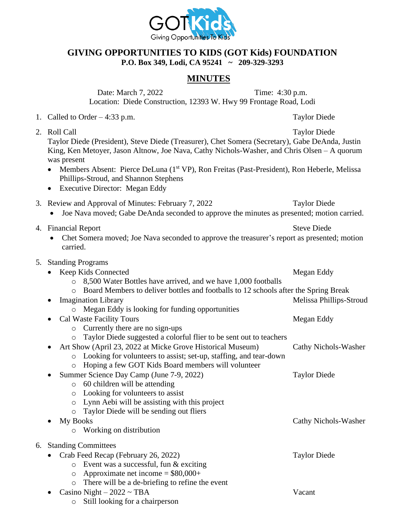

## **GIVING OPPORTUNITIES TO KIDS (GOT Kids) FOUNDATION P.O. Box 349, Lodi, CA 95241 ~ 209-329-3293**

## **MINUTES**

Date: March 7, 2022 Time: 4:30 p.m. Location: Diede Construction, 12393 W. Hwy 99 Frontage Road, Lodi

- 1. Called to Order 4:33 p.m. Taylor Diede
- 2. Roll Call Taylor Diede Taylor Diede (President), Steve Diede (Treasurer), Chet Somera (Secretary), Gabe DeAnda, Justin King, Ken Metoyer, Jason Altnow, Joe Nava, Cathy Nichols-Washer, and Chris Olsen – A quorum was present
	- Members Absent: Pierce DeLuna (1<sup>st</sup> VP), Ron Freitas (Past-President), Ron Heberle, Melissa Phillips-Stroud, and Shannon Stephens
	- Executive Director: Megan Eddy

| 3. Review and Approval of Minutes: February 7, 2022 | <b>Taylor Diede</b> |
|-----------------------------------------------------|---------------------|
|                                                     |                     |

- Joe Nava moved; Gabe DeAnda seconded to approve the minutes as presented; motion carried.
- 4. Financial Report Steve Diede
	- Chet Somera moved; Joe Nava seconded to approve the treasurer's report as presented; motion carried.
- 5. Standing Programs

|    |                            |          | Keep Kids Connected                                                                 | Megan Eddy              |  |  |
|----|----------------------------|----------|-------------------------------------------------------------------------------------|-------------------------|--|--|
|    |                            | $\circ$  | 8,500 Water Bottles have arrived, and we have 1,000 footballs                       |                         |  |  |
|    |                            | $\circ$  | Board Members to deliver bottles and footballs to 12 schools after the Spring Break |                         |  |  |
|    |                            |          | <b>Imagination Library</b>                                                          | Melissa Phillips-Stroud |  |  |
|    |                            | $\circ$  | Megan Eddy is looking for funding opportunities                                     |                         |  |  |
|    |                            |          | <b>Cal Waste Facility Tours</b>                                                     | Megan Eddy              |  |  |
|    |                            | $\circ$  | Currently there are no sign-ups                                                     |                         |  |  |
|    |                            | $\circ$  | Taylor Diede suggested a colorful flier to be sent out to teachers                  |                         |  |  |
|    |                            |          | Art Show (April 23, 2022 at Micke Grove Historical Museum)                          | Cathy Nichols-Washer    |  |  |
|    |                            | $\circ$  | Looking for volunteers to assist; set-up, staffing, and tear-down                   |                         |  |  |
|    |                            | $\circ$  | Hoping a few GOT Kids Board members will volunteer                                  |                         |  |  |
|    |                            |          | Summer Science Day Camp (June 7-9, 2022)                                            | <b>Taylor Diede</b>     |  |  |
|    |                            | $\circ$  | 60 children will be attending                                                       |                         |  |  |
|    |                            | $\circ$  | Looking for volunteers to assist                                                    |                         |  |  |
|    |                            | $\circ$  | Lynn Aebi will be assisting with this project                                       |                         |  |  |
|    |                            | $\circ$  | Taylor Diede will be sending out fliers                                             |                         |  |  |
|    |                            | My Books |                                                                                     | Cathy Nichols-Washer    |  |  |
|    |                            | $\circ$  | Working on distribution                                                             |                         |  |  |
| 6. | <b>Standing Committees</b> |          |                                                                                     |                         |  |  |
|    |                            |          | Crab Feed Recap (February 26, 2022)                                                 | <b>Taylor Diede</b>     |  |  |
|    |                            | $\circ$  | Event was a successful, fun & exciting                                              |                         |  |  |
|    |                            | $\circ$  | Approximate net income = $$80,000+$                                                 |                         |  |  |
|    |                            | $\circ$  | There will be a de-briefing to refine the event                                     |                         |  |  |
|    |                            |          | Casino Night $-2022 \sim \text{TBA}$                                                | Vacant                  |  |  |
|    |                            | $\circ$  | Still looking for a chairperson                                                     |                         |  |  |
|    |                            |          |                                                                                     |                         |  |  |